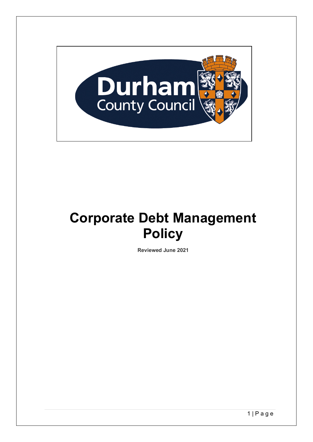

# **Corporate Debt Management Policy**

**Reviewed June 2021**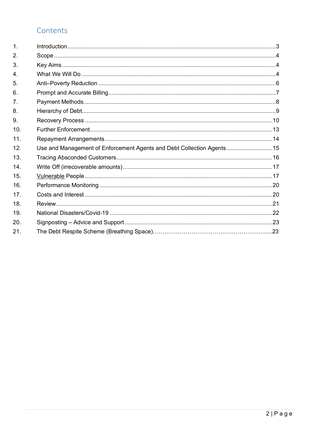# Contents

| $\mathbf 1$    |                                                                       |  |
|----------------|-----------------------------------------------------------------------|--|
| 2.             |                                                                       |  |
| 3.             |                                                                       |  |
| $\overline{4}$ |                                                                       |  |
| 5.             |                                                                       |  |
| 6.             |                                                                       |  |
| 7 <sub>1</sub> |                                                                       |  |
| 8.             |                                                                       |  |
| 9.             |                                                                       |  |
| 10.            |                                                                       |  |
| 11.            |                                                                       |  |
| 12.            | Use and Management of Enforcement Agents and Debt Collection Agents15 |  |
| 13.            |                                                                       |  |
| 14.            |                                                                       |  |
| 15.            |                                                                       |  |
| 16.            |                                                                       |  |
| 17.            |                                                                       |  |
| 18.            |                                                                       |  |
| 19.            |                                                                       |  |
| 20.            |                                                                       |  |
| 21.            |                                                                       |  |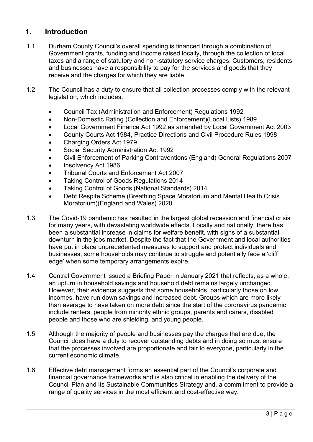## <span id="page-2-0"></span>**1. Introduction**

- 1.1 Durham County Council's overall spending is financed through a combination of Government grants, funding and income raised locally, through the collection of local taxes and a range of statutory and non-statutory service charges. Customers, residents and businesses have a responsibility to pay for the services and goods that they receive and the charges for which they are liable.
- 1.2 The Council has a duty to ensure that all collection processes comply with the relevant legislation, which includes:
	- Council Tax (Administration and Enforcement) Regulations 1992
	- Non-Domestic Rating (Collection and Enforcement)(Local Lists) 1989
	- Local Government Finance Act 1992 as amended by Local Government Act 2003
	- County Courts Act 1984, Practice Directions and Civil Procedure Rules 1998
	- Charging Orders Act 1979
	- Social Security Administration Act 1992
	- Civil Enforcement of Parking Contraventions (England) General Regulations 2007
	- Insolvency Act 1986
	- Tribunal Courts and Enforcement Act 2007
	- Taking Control of Goods Regulations 2014
	- Taking Control of Goods (National Standards) 2014
	- Debt Respite Scheme (Breathing Space Moratorium and Mental Health Crisis Moratorium)(England and Wales) 2020
- 1.3 The Covid-19 pandemic has resulted in the largest global recession and financial crisis for many years, with devastating worldwide effects. Locally and nationally, there has been a substantial increase in claims for welfare benefit, with signs of a substantial downturn in the jobs market. Despite the fact that the Government and local authorities have put in place unprecedented measures to support and protect individuals and businesses, some households may continue to struggle and potentially face a 'cliff edge' when some temporary arrangements expire.
- 1.4 Central Government issued a Briefing Paper in January 2021 that reflects, as a whole, an upturn in household savings and household debt remains largely unchanged. However, their evidence suggests that some households, particularly those on low incomes, have run down savings and increased debt. Groups which are more likely than average to have taken on more debt since the start of the coronavirus pandemic include renters, people from minority ethnic groups, parents and carers, disabled people and those who are shielding, and young people.
- 1.5 Although the majority of people and businesses pay the charges that are due, the Council does have a duty to recover outstanding debts and in doing so must ensure that the processes involved are proportionate and fair to everyone, particularly in the current economic climate.
- 1.6 Effective debt management forms an essential part of the Council's corporate and financial governance frameworks and is also critical in enabling the delivery of the Council Plan and its Sustainable Communities Strategy and, a commitment to provide a range of quality services in the most efficient and cost-effective way.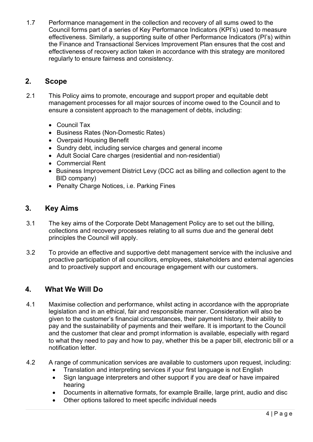1.7 Performance management in the collection and recovery of all sums owed to the Council forms part of a series of Key Performance Indicators (KPI's) used to measure effectiveness. Similarly, a supporting suite of other Performance Indicators (PI's) within the Finance and Transactional Services Improvement Plan ensures that the cost and effectiveness of recovery action taken in accordance with this strategy are monitored regularly to ensure fairness and consistency.

## <span id="page-3-0"></span>**2. Scope**

- 2.1 This Policy aims to promote, encourage and support proper and equitable debt management processes for all major sources of income owed to the Council and to ensure a consistent approach to the management of debts, including:
	- Council Tax
	- Business Rates (Non-Domestic Rates)
	- Overpaid Housing Benefit
	- Sundry debt, including service charges and general income
	- Adult Social Care charges (residential and non-residential)
	- Commercial Rent
	- Business Improvement District Levy (DCC act as billing and collection agent to the BID company)
	- Penalty Charge Notices, i.e. Parking Fines

## <span id="page-3-1"></span>**3. Key Aims**

- 3.1 The key aims of the Corporate Debt Management Policy are to set out the billing, collections and recovery processes relating to all sums due and the general debt principles the Council will apply.
- 3.2 To provide an effective and supportive debt management service with the inclusive and proactive participation of all councillors, employees, stakeholders and external agencies and to proactively support and encourage engagement with our customers.

# <span id="page-3-2"></span>**4. What We Will Do**

- 4.1 Maximise collection and performance, whilst acting in accordance with the appropriate legislation and in an ethical, fair and responsible manner. Consideration will also be given to the customer's financial circumstances, their payment history, their ability to pay and the sustainability of payments and their welfare. It is important to the Council and the customer that clear and prompt information is available, especially with regard to what they need to pay and how to pay, whether this be a paper bill, electronic bill or a notification letter.
- 4.2 A range of communication services are available to customers upon request, including:
	- Translation and interpreting services if your first language is not English
	- Sign language interpreters and other support if you are deaf or have impaired hearing
	- Documents in alternative formats, for example Braille, large print, audio and disc
	- Other options tailored to meet specific individual needs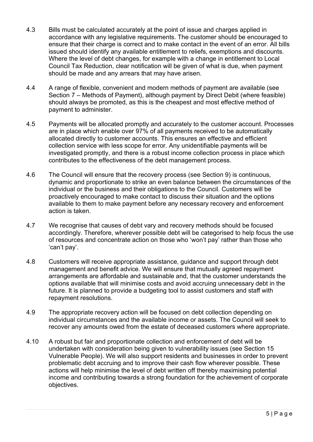- 4.3 Bills must be calculated accurately at the point of issue and charges applied in accordance with any legislative requirements. The customer should be encouraged to ensure that their charge is correct and to make contact in the event of an error. All bills issued should identify any available entitlement to reliefs, exemptions and discounts. Where the level of debt changes, for example with a change in entitlement to Local Council Tax Reduction, clear notification will be given of what is due, when payment should be made and any arrears that may have arisen.
- 4.4 A range of flexible, convenient and modern methods of payment are available (see Section 7 – Methods of Payment), although payment by Direct Debit (where feasible) should always be promoted, as this is the cheapest and most effective method of payment to administer.
- 4.5 Payments will be allocated promptly and accurately to the customer account. Processes are in place which enable over 97% of all payments received to be automatically allocated directly to customer accounts. This ensures an effective and efficient collection service with less scope for error. Any unidentifiable payments will be investigated promptly, and there is a robust income collection process in place which contributes to the effectiveness of the debt management process.
- 4.6 The Council will ensure that the recovery process (see Section 9) is continuous, dynamic and proportionate to strike an even balance between the circumstances of the individual or the business and their obligations to the Council. Customers will be proactively encouraged to make contact to discuss their situation and the options available to them to make payment before any necessary recovery and enforcement action is taken.
- 4.7 We recognise that causes of debt vary and recovery methods should be focused accordingly. Therefore, wherever possible debt will be categorised to help focus the use of resources and concentrate action on those who 'won't pay' rather than those who 'can't pay'.
- 4.8 Customers will receive appropriate assistance, guidance and support through debt management and benefit advice. We will ensure that mutually agreed repayment arrangements are affordable and sustainable and, that the customer understands the options available that will minimise costs and avoid accruing unnecessary debt in the future. It is planned to provide a budgeting tool to assist customers and staff with repayment resolutions.
- 4.9 The appropriate recovery action will be focused on debt collection depending on individual circumstances and the available income or assets. The Council will seek to recover any amounts owed from the estate of deceased customers where appropriate.
- 4.10 A robust but fair and proportionate collection and enforcement of debt will be undertaken with consideration being given to vulnerability issues (see Section 15 Vulnerable People). We will also support residents and businesses in order to prevent problematic debt accruing and to improve their cash flow wherever possible. These actions will help minimise the level of debt written off thereby maximising potential income and contributing towards a strong foundation for the achievement of corporate objectives.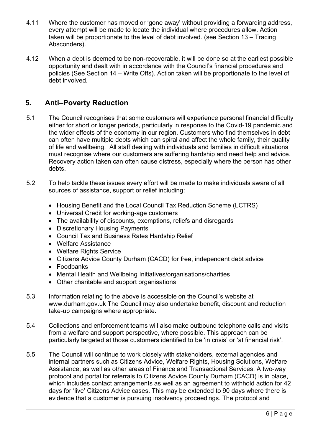- 4.11 Where the customer has moved or 'gone away' without providing a forwarding address, every attempt will be made to locate the individual where procedures allow. Action taken will be proportionate to the level of debt involved. (see Section 13 – Tracing Absconders).
- 4.12 When a debt is deemed to be non-recoverable, it will be done so at the earliest possible opportunity and dealt with in accordance with the Council's financial procedures and policies (See Section 14 – Write Offs). Action taken will be proportionate to the level of debt involved.

# <span id="page-5-0"></span>**5. Anti–Poverty Reduction**

- 5.1 The Council recognises that some customers will experience personal financial difficulty either for short or longer periods, particularly in response to the Covid-19 pandemic and the wider effects of the economy in our region. Customers who find themselves in debt can often have multiple debts which can spiral and affect the whole family, their quality of life and wellbeing. All staff dealing with individuals and families in difficult situations must recognise where our customers are suffering hardship and need help and advice. Recovery action taken can often cause distress, especially where the person has other debts.
- 5.2 To help tackle these issues every effort will be made to make individuals aware of all sources of assistance, support or relief including:
	- Housing Benefit and the Local Council Tax Reduction Scheme (LCTRS)
	- Universal Credit for working-age customers
	- The availability of discounts, exemptions, reliefs and disregards
	- Discretionary Housing Payments
	- Council Tax and Business Rates Hardship Relief
	- Welfare Assistance
	- Welfare Rights Service
	- Citizens Advice County Durham (CACD) for free, independent debt advice
	- Foodbanks
	- Mental Health and Wellbeing Initiatives/organisations/charities
	- Other charitable and support organisations
- 5.3 Information relating to the above is accessible on the Council's website at [www.durham.gov.uk](http://www.durham.gov.uk) The Council may also undertake benefit, discount and reduction take-up campaigns where appropriate.
- 5.4 Collections and enforcement teams will also make outbound telephone calls and visits from a welfare and support perspective, where possible. This approach can be particularly targeted at those customers identified to be 'in crisis' or 'at financial risk'.
- 5.5 The Council will continue to work closely with stakeholders, external agencies and internal partners such as Citizens Advice, Welfare Rights, Housing Solutions, Welfare Assistance, as well as other areas of Finance and Transactional Services. A two-way protocol and portal for referrals to Citizens Advice County Durham (CACD) is in place, which includes contact arrangements as well as an agreement to withhold action for 42 days for 'live' Citizens Advice cases. This may be extended to 90 days where there is evidence that a customer is pursuing insolvency proceedings. The protocol and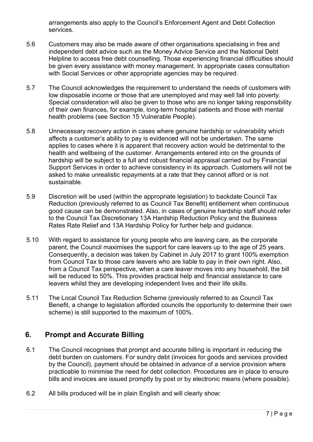arrangements also apply to the Council's Enforcement Agent and Debt Collection services.

- 5.6 Customers may also be made aware of other organisations specialising in free and independent debt advice such as the Money Advice Service and the National Debt Helpline to access free debt counselling. Those experiencing financial difficulties should be given every assistance with money management. In appropriate cases consultation with Social Services or other appropriate agencies may be required.
- 5.7 The Council acknowledges the requirement to understand the needs of customers with low disposable income or those that are unemployed and may well fall into poverty. Special consideration will also be given to those who are no longer taking responsibility of their own finances, for example, long-term hospital patients and those with mental health problems (see Section 15 Vulnerable People).
- 5.8 Unnecessary recovery action in cases where genuine hardship or vulnerability which affects a customer's ability to pay is evidenced will not be undertaken. The same applies to cases where it is apparent that recovery action would be detrimental to the health and wellbeing of the customer. Arrangements entered into on the grounds of hardship will be subject to a full and robust financial appraisal carried out by Financial Support Services in order to achieve consistency in its approach. Customers will not be asked to make unrealistic repayments at a rate that they cannot afford or is not sustainable.
- 5.9 Discretion will be used (within the appropriate legislation) to backdate Council Tax Reduction (previously referred to as Council Tax Benefit) entitlement when continuous good cause can be demonstrated. Also, in cases of genuine hardship staff should refer to the Council Tax Discretionary 13A Hardship Reduction Policy and the Business Rates Rate Relief and 13A Hardship Policy for further help and guidance.
- 5.10 With regard to assistance for young people who are leaving care, as the corporate parent, the Council maximises the support for care leavers up to the age of 25 years. Consequently, a decision was taken by Cabinet in July 2017 to grant 100% exemption from Council Tax to those care leavers who are liable to pay in their own right. Also, from a Council Tax perspective, when a care leaver moves into any household, the bill will be reduced to 50%. This provides practical help and financial assistance to care leavers whilst they are developing independent lives and their life skills.
- 5.11 The Local Council Tax Reduction Scheme (previously referred to as Council Tax Benefit, a change to legislation afforded councils the opportunity to determine their own scheme) is still supported to the maximum of 100%.

## <span id="page-6-0"></span>**6. Prompt and Accurate Billing**

- 6.1 The Council recognises that prompt and accurate billing is important in reducing the debt burden on customers. For sundry debt (invoices for goods and services provided by the Council), payment should be obtained in advance of a service provision where practicable to minimise the need for debt collection. Procedures are in place to ensure bills and invoices are issued promptly by post or by electronic means (where possible).
- 6.2 All bills produced will be in plain English and will clearly show: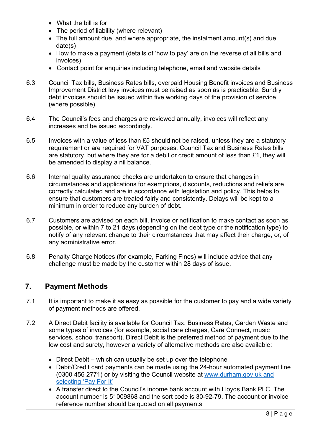- What the bill is for
- The period of liability (where relevant)
- The full amount due, and where appropriate, the instalment amount(s) and due date(s)
- How to make a payment (details of 'how to pay' are on the reverse of all bills and invoices)
- Contact point for enquiries including telephone, email and website details
- 6.3 Council Tax bills, Business Rates bills, overpaid Housing Benefit invoices and Business Improvement District levy invoices must be raised as soon as is practicable. Sundry debt invoices should be issued within five working days of the provision of service (where possible).
- 6.4 The Council's fees and charges are reviewed annually, invoices will reflect any increases and be issued accordingly.
- 6.5 Invoices with a value of less than £5 should not be raised, unless they are a statutory requirement or are required for VAT purposes. Council Tax and Business Rates bills are statutory, but where they are for a debit or credit amount of less than £1, they will be amended to display a nil balance.
- 6.6 Internal quality assurance checks are undertaken to ensure that changes in circumstances and applications for exemptions, discounts, reductions and reliefs are correctly calculated and are in accordance with legislation and policy. This helps to ensure that customers are treated fairly and consistently. Delays will be kept to a minimum in order to reduce any burden of debt.
- 6.7 Customers are advised on each bill, invoice or notification to make contact as soon as possible, or within 7 to 21 days (depending on the debt type or the notification type) to notify of any relevant change to their circumstances that may affect their charge, or, of any administrative error.
- 6.8 Penalty Charge Notices (for example, Parking Fines) will include advice that any challenge must be made by the customer within 28 days of issue.

# <span id="page-7-0"></span>**7. Payment Methods**

- 7.1 It is important to make it as easy as possible for the customer to pay and a wide variety of payment methods are offered.
- 7.2 A Direct Debit facility is available for Council Tax, Business Rates, Garden Waste and some types of invoices (for example, social care charges, Care Connect, music services, school transport). Direct Debit is the preferred method of payment due to the low cost and surety, however a variety of alternative methods are also available:
	- Direct Debit which can usually be set up over the telephone
	- Debit/Credit card payments can be made using the 24-hour automated payment line (0300 456 2771) or by visiting the Council website at [www.durham.gov.uk](http://www.durham.gov.uk/) and selecting 'Pay For It'
	- A transfer direct to the Council's income bank account with Lloyds Bank PLC. The account number is 51009868 and the sort code is 30-92-79. The account or invoice reference number should be quoted on all payments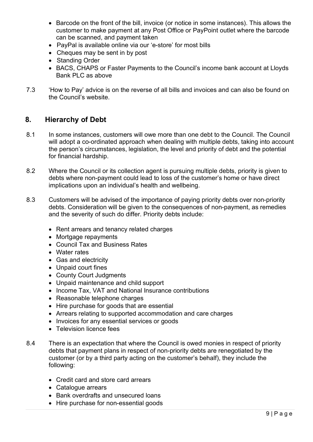- Barcode on the front of the bill, invoice (or notice in some instances). This allows the customer to make payment at any Post Office or PayPoint outlet where the barcode can be scanned, and payment taken
- PayPal is available online via our 'e-store' for most bills
- Cheques may be sent in by post
- Standing Order
- BACS, CHAPS or Faster Payments to the Council's income bank account at Lloyds Bank PLC as above
- 7.3 'How to Pay' advice is on the reverse of all bills and invoices and can also be found on the Council's website.

#### <span id="page-8-0"></span>**8. Hierarchy of Debt**

- 8.1 In some instances, customers will owe more than one debt to the Council. The Council will adopt a co-ordinated approach when dealing with multiple debts, taking into account the person's circumstances, legislation, the level and priority of debt and the potential for financial hardship.
- 8.2 Where the Council or its collection agent is pursuing multiple debts, priority is given to debts where non-payment could lead to loss of the customer's home or have direct implications upon an individual's health and wellbeing.
- 8.3 Customers will be advised of the importance of paying priority debts over non-priority debts. Consideration will be given to the consequences of non-payment, as remedies and the severity of such do differ. Priority debts include:
	- Rent arrears and tenancy related charges
	- Mortgage repayments
	- Council Tax and Business Rates
	- Water rates
	- Gas and electricity
	- Unpaid court fines
	- County Court Judgments
	- Unpaid maintenance and child support
	- Income Tax, VAT and National Insurance contributions
	- Reasonable telephone charges
	- Hire purchase for goods that are essential
	- Arrears relating to supported accommodation and care charges
	- Invoices for any essential services or goods
	- Television licence fees
- 8.4 There is an expectation that where the Council is owed monies in respect of priority debts that payment plans in respect of non-priority debts are renegotiated by the customer (or by a third party acting on the customer's behalf), they include the following:
	- Credit card and store card arrears
	- Catalogue arrears
	- Bank overdrafts and unsecured loans
	- Hire purchase for non-essential goods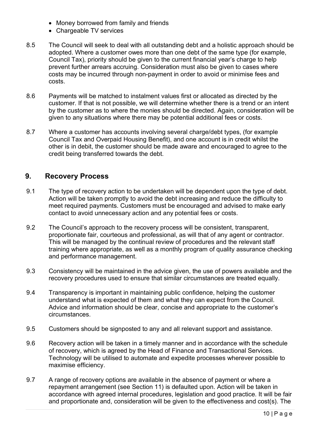- Money borrowed from family and friends
- Chargeable TV services
- 8.5 The Council will seek to deal with all outstanding debt and a holistic approach should be adopted. Where a customer owes more than one debt of the same type (for example, Council Tax), priority should be given to the current financial year's charge to help prevent further arrears accruing. Consideration must also be given to cases where costs may be incurred through non-payment in order to avoid or minimise fees and costs.
- 8.6 Payments will be matched to instalment values first or allocated as directed by the customer. If that is not possible, we will determine whether there is a trend or an intent by the customer as to where the monies should be directed. Again, consideration will be given to any situations where there may be potential additional fees or costs.
- 8.7 Where a customer has accounts involving several charge/debt types, (for example Council Tax and Overpaid Housing Benefit), and one account is in credit whilst the other is in debit, the customer should be made aware and encouraged to agree to the credit being transferred towards the debt.

## <span id="page-9-0"></span>**9. Recovery Process**

- 9.1 The type of recovery action to be undertaken will be dependent upon the type of debt. Action will be taken promptly to avoid the debt increasing and reduce the difficulty to meet required payments. Customers must be encouraged and advised to make early contact to avoid unnecessary action and any potential fees or costs.
- 9.2 The Council's approach to the recovery process will be consistent, transparent, proportionate fair, courteous and professional, as will that of any agent or contractor. This will be managed by the continual review of procedures and the relevant staff training where appropriate, as well as a monthly program of quality assurance checking and performance management.
- 9.3 Consistency will be maintained in the advice given, the use of powers available and the recovery procedures used to ensure that similar circumstances are treated equally.
- 9.4 Transparency is important in maintaining public confidence, helping the customer understand what is expected of them and what they can expect from the Council. Advice and information should be clear, concise and appropriate to the customer's circumstances.
- 9.5 Customers should be signposted to any and all relevant support and assistance.
- 9.6 Recovery action will be taken in a timely manner and in accordance with the schedule of recovery, which is agreed by the Head of Finance and Transactional Services. Technology will be utilised to automate and expedite processes wherever possible to maximise efficiency.
- 9.7 A range of recovery options are available in the absence of payment or where a repayment arrangement (see Section 11) is defaulted upon. Action will be taken in accordance with agreed internal procedures, legislation and good practice. It will be fair and proportionate and, consideration will be given to the effectiveness and cost(s). The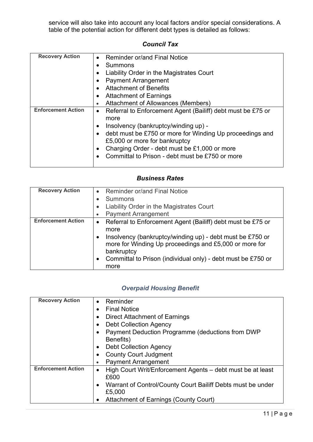service will also take into account any local factors and/or special considerations. A table of the potential action for different debt types is detailed as follows:

#### *Council Tax*

| <b>Recovery Action</b>    | <b>Reminder or/and Final Notice</b>                                      |
|---------------------------|--------------------------------------------------------------------------|
|                           | <b>Summons</b>                                                           |
|                           | Liability Order in the Magistrates Court                                 |
|                           | <b>Payment Arrangement</b>                                               |
|                           | <b>Attachment of Benefits</b>                                            |
|                           | <b>Attachment of Earnings</b>                                            |
|                           | <b>Attachment of Allowances (Members)</b>                                |
| <b>Enforcement Action</b> | Referral to Enforcement Agent (Bailiff) debt must be £75 or<br>$\bullet$ |
|                           | more                                                                     |
|                           | Insolvency (bankruptcy/winding up) -                                     |
|                           | debt must be £750 or more for Winding Up proceedings and                 |
|                           | £5,000 or more for bankruptcy                                            |
|                           | Charging Order - debt must be £1,000 or more                             |
|                           | Committal to Prison - debt must be £750 or more                          |
|                           |                                                                          |

#### *Business Rates*

| <b>Recovery Action</b>    |           | <b>Reminder or/and Final Notice</b>                                                                                               |
|---------------------------|-----------|-----------------------------------------------------------------------------------------------------------------------------------|
|                           |           | <b>Summons</b>                                                                                                                    |
|                           |           | Liability Order in the Magistrates Court                                                                                          |
|                           |           | <b>Payment Arrangement</b>                                                                                                        |
| <b>Enforcement Action</b> | $\bullet$ | Referral to Enforcement Agent (Bailiff) debt must be £75 or                                                                       |
|                           |           | more                                                                                                                              |
|                           |           | Insolvency (bankruptcy/winding up) - debt must be £750 or<br>more for Winding Up proceedings and £5,000 or more for<br>bankruptcy |
|                           |           | Committal to Prison (individual only) - debt must be £750 or<br>more                                                              |

## *Overpaid Housing Benefit*

| <b>Recovery Action</b>    | Reminder<br>$\bullet$                                                    |
|---------------------------|--------------------------------------------------------------------------|
|                           | <b>Final Notice</b>                                                      |
|                           | <b>Direct Attachment of Earnings</b>                                     |
|                           | <b>Debt Collection Agency</b>                                            |
|                           | Payment Deduction Programme (deductions from DWP                         |
|                           | Benefits)                                                                |
|                           | <b>Debt Collection Agency</b>                                            |
|                           | <b>County Court Judgment</b>                                             |
|                           | <b>Payment Arrangement</b>                                               |
| <b>Enforcement Action</b> | High Court Writ/Enforcement Agents – debt must be at least               |
|                           | £600                                                                     |
|                           | Warrant of Control/County Court Bailiff Debts must be under<br>$\bullet$ |
|                           | £5,000                                                                   |
|                           | <b>Attachment of Earnings (County Court)</b>                             |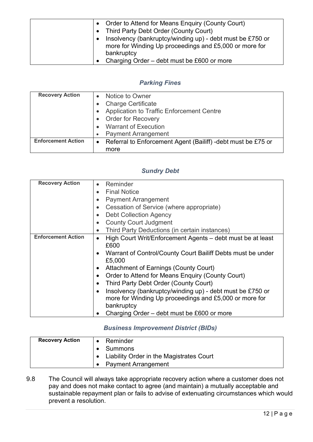| Order to Attend for Means Enquiry (County Court)                       |
|------------------------------------------------------------------------|
| Third Party Debt Order (County Court)<br>$\bullet$                     |
| Insolvency (bankruptcy/winding up) - debt must be £750 or<br>$\bullet$ |
| more for Winding Up proceedings and £5,000 or more for                 |
| bankruptcy                                                             |
| Charging Order – debt must be £600 or more                             |

## *Parking Fines*

| <b>Recovery Action</b>    |           | Notice to Owner                                               |
|---------------------------|-----------|---------------------------------------------------------------|
|                           |           | <b>Charge Certificate</b>                                     |
|                           |           | Application to Traffic Enforcement Centre                     |
|                           |           | <b>Order for Recovery</b>                                     |
|                           |           | <b>Warrant of Execution</b>                                   |
|                           |           | <b>Payment Arrangement</b>                                    |
| <b>Enforcement Action</b> | $\bullet$ | Referral to Enforcement Agent (Bailiff) - debt must be £75 or |
|                           |           | more                                                          |

#### *Sundry Debt*

| <b>Recovery Action</b>    | Reminder                                                                 |
|---------------------------|--------------------------------------------------------------------------|
|                           | <b>Final Notice</b>                                                      |
|                           | <b>Payment Arrangement</b>                                               |
|                           | Cessation of Service (where appropriate)                                 |
|                           | <b>Debt Collection Agency</b><br>$\bullet$                               |
|                           | <b>County Court Judgment</b><br>$\bullet$                                |
|                           | Third Party Deductions (in certain instances)                            |
| <b>Enforcement Action</b> | High Court Writ/Enforcement Agents - debt must be at least<br>٠          |
|                           | £600                                                                     |
|                           | Warrant of Control/County Court Bailiff Debts must be under<br>$\bullet$ |
|                           | £5,000                                                                   |
|                           | <b>Attachment of Earnings (County Court)</b><br>$\bullet$                |
|                           | Order to Attend for Means Enquiry (County Court)                         |
|                           | Third Party Debt Order (County Court)                                    |
|                           | Insolvency (bankruptcy/winding up) - debt must be £750 or<br>$\bullet$   |
|                           | more for Winding Up proceedings and £5,000 or more for                   |
|                           | bankruptcy                                                               |
|                           | Charging Order – debt must be £600 or more                               |

#### *Business Improvement District (BIDs)*

| <b>Recovery Action</b> | Reminder                                 |
|------------------------|------------------------------------------|
|                        | Summons                                  |
|                        | Liability Order in the Magistrates Court |
|                        | <b>Payment Arrangement</b>               |

9.8 The Council will always take appropriate recovery action where a customer does not pay and does not make contact to agree (and maintain) a mutually acceptable and sustainable repayment plan or fails to advise of extenuating circumstances which would prevent a resolution.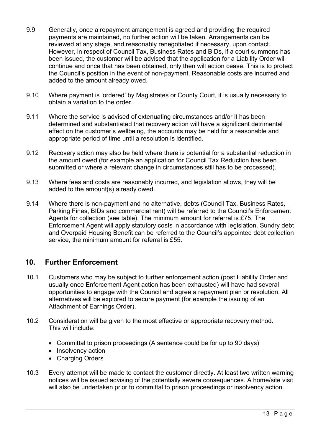- 9.9 Generally, once a repayment arrangement is agreed and providing the required payments are maintained, no further action will be taken. Arrangements can be reviewed at any stage, and reasonably renegotiated if necessary, upon contact. However, in respect of Council Tax, Business Rates and BIDs, if a court summons has been issued, the customer will be advised that the application for a Liability Order will continue and once that has been obtained, only then will action cease. This is to protect the Council's position in the event of non-payment. Reasonable costs are incurred and added to the amount already owed.
- 9.10 Where payment is 'ordered' by Magistrates or County Court, it is usually necessary to obtain a variation to the order.
- 9.11 Where the service is advised of extenuating circumstances and/or it has been determined and substantiated that recovery action will have a significant detrimental effect on the customer's wellbeing, the accounts may be held for a reasonable and appropriate period of time until a resolution is identified.
- 9.12 Recovery action may also be held where there is potential for a substantial reduction in the amount owed (for example an application for Council Tax Reduction has been submitted or where a relevant change in circumstances still has to be processed).
- 9.13 Where fees and costs are reasonably incurred, and legislation allows, they will be added to the amount(s) already owed.
- 9.14 Where there is non-payment and no alternative, debts (Council Tax, Business Rates, Parking Fines, BIDs and commercial rent) will be referred to the Council's Enforcement Agents for collection (see table). The minimum amount for referral is £75. The Enforcement Agent will apply statutory costs in accordance with legislation. Sundry debt and Overpaid Housing Benefit can be referred to the Council's appointed debt collection service, the minimum amount for referral is £55.

## <span id="page-12-0"></span>**10. Further Enforcement**

- 10.1 Customers who may be subject to further enforcement action (post Liability Order and usually once Enforcement Agent action has been exhausted) will have had several opportunities to engage with the Council and agree a repayment plan or resolution. All alternatives will be explored to secure payment (for example the issuing of an Attachment of Earnings Order).
- 10.2 Consideration will be given to the most effective or appropriate recovery method. This will include:
	- Committal to prison proceedings (A sentence could be for up to 90 days)
	- Insolvency action
	- Charging Orders
- 10.3 Every attempt will be made to contact the customer directly. At least two written warning notices will be issued advising of the potentially severe consequences. A home/site visit will also be undertaken prior to committal to prison proceedings or insolvency action.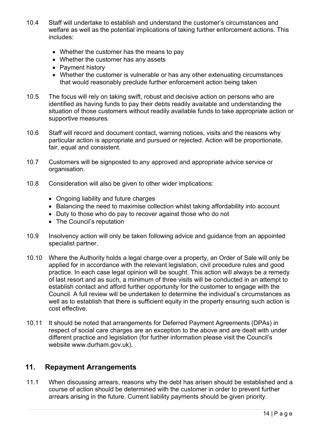- 10.4 Staff will undertake to establish and understand the customer's circumstances and welfare as well as the potential implications of taking further enforcement actions. This includes:
	- Whether the customer has the means to pay
	- Whether the customer has any assets
	- Payment history
	- Whether the customer is vulnerable or has any other extenuating circumstances that would reasonably preclude further enforcement action being taken
- 10.5 The focus will rely on taking swift, robust and decisive action on persons who are identified as having funds to pay their debts readily available and understanding the situation of those customers without readily available funds to take appropriate action or supportive measures.
- 10.6 Staff will record and document contact, warning notices, visits and the reasons why particular action is appropriate and pursued or rejected. Action will be proportionate, fair, equal and consistent.
- 10.7 Customers will be signposted to any approved and appropriate advice service or organisation.
- 10.8 Consideration will also be given to other wider implications:
	- Ongoing liability and future charges
	- Balancing the need to maximise collection whilst taking affordability into account
	- Duty to those who do pay to recover against those who do not
	- The Council's reputation
- 10.9 Insolvency action will only be taken following advice and guidance from an appointed specialist partner.
- 10.10 Where the Authority holds a legal charge over a property, an Order of Sale will only be applied for in accordance with the relevant legislation, civil procedure rules and good practice. In each case legal opinion will be sought. This action will always be a remedy of last resort and as such, a minimum of three visits will be conducted in an attempt to establish contact and afford further opportunity for the customer to engage with the Council. A full review will be undertaken to determine the individual's circumstances as well as to establish that there is sufficient equity in the property ensuring such action is cost effective.
- 10.11 It should be noted that arrangements for Deferred Payment Agreements (DPAs) in respect of social care charges are an exception to the above and are dealt with under different practice and legislation (for further information please visit the Council's website www.durham.gov.uk).

#### <span id="page-13-0"></span>**11. Repayment Arrangements**

11.1 When discussing arrears, reasons why the debt has arisen should be established and a course of action should be determined with the customer in order to prevent further arrears arising in the future. Current liability payments should be given priority.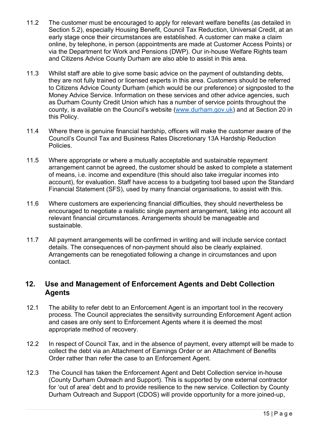- 11.2 The customer must be encouraged to apply for relevant welfare benefits (as detailed in Section 5.2), especially Housing Benefit, Council Tax Reduction, Universal Credit, at an early stage once their circumstances are established. A customer can make a claim online, by telephone, in person (appointments are made at Customer Access Points) or via the Department for Work and Pensions (DWP). Our in-house Welfare Rights team and Citizens Advice County Durham are also able to assist in this area.
- 11.3 Whilst staff are able to give some basic advice on the payment of outstanding debts, they are not fully trained or licensed experts in this area. Customers should be referred to Citizens Advice County Durham (which would be our preference) or signposted to the Money Advice Service. Information on these services and other advice agencies, such as Durham County Credit Union which has a number of service points throughout the county, is available on the Council's website [\(www.durham.gov.uk\)](http://www.durham.gov.uk/) and at Section 20 in this Policy.
- 11.4 Where there is genuine financial hardship, officers will make the customer aware of the Council's Council Tax and Business Rates Discretionary 13A Hardship Reduction Policies.
- 11.5 Where appropriate or where a mutually acceptable and sustainable repayment arrangement cannot be agreed, the customer should be asked to complete a statement of means, i.e. income and expenditure (this should also take irregular incomes into account), for evaluation. Staff have access to a budgeting tool based upon the Standard Financial Statement (SFS), used by many financial organisations, to assist with this.
- 11.6 Where customers are experiencing financial difficulties, they should nevertheless be encouraged to negotiate a realistic single payment arrangement, taking into account all relevant financial circumstances. Arrangements should be manageable and sustainable.
- 11.7 All payment arrangements will be confirmed in writing and will include service contact details. The consequences of non-payment should also be clearly explained. Arrangements can be renegotiated following a change in circumstances and upon contact.

## <span id="page-14-0"></span>**12. Use and Management of Enforcement Agents and Debt Collection Agents**

- 12.1 The ability to refer debt to an Enforcement Agent is an important tool in the recovery process. The Council appreciates the sensitivity surrounding Enforcement Agent action and cases are only sent to Enforcement Agents where it is deemed the most appropriate method of recovery.
- 12.2 In respect of Council Tax, and in the absence of payment, every attempt will be made to collect the debt via an Attachment of Earnings Order or an Attachment of Benefits Order rather than refer the case to an Enforcement Agent.
- 12.3 The Council has taken the Enforcement Agent and Debt Collection service in-house (County Durham Outreach and Support). This is supported by one external contractor for 'out of area' debt and to provide resilience to the new service. Collection by County Durham Outreach and Support (CDOS) will provide opportunity for a more joined-up,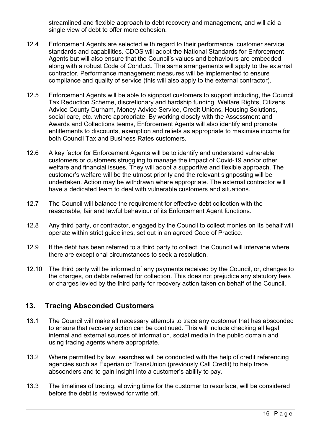streamlined and flexible approach to debt recovery and management, and will aid a single view of debt to offer more cohesion.

- 12.4 Enforcement Agents are selected with regard to their performance, customer service standards and capabilities. CDOS will adopt the National Standards for Enforcement Agents but will also ensure that the Council's values and behaviours are embedded, along with a robust Code of Conduct. The same arrangements will apply to the external contractor. Performance management measures will be implemented to ensure compliance and quality of service (this will also apply to the external contractor).
- 12.5 Enforcement Agents will be able to signpost customers to support including, the Council Tax Reduction Scheme, discretionary and hardship funding, Welfare Rights, Citizens Advice County Durham, Money Advice Service, Credit Unions, Housing Solutions, social care, etc. where appropriate. By working closely with the Assessment and Awards and Collections teams, Enforcement Agents will also identify and promote entitlements to discounts, exemption and reliefs as appropriate to maximise income for both Council Tax and Business Rates customers.
- 12.6 A key factor for Enforcement Agents will be to identify and understand vulnerable customers or customers struggling to manage the impact of Covid-19 and/or other welfare and financial issues. They will adopt a supportive and flexible approach. The customer's welfare will be the utmost priority and the relevant signposting will be undertaken. Action may be withdrawn where appropriate. The external contractor will have a dedicated team to deal with vulnerable customers and situations.
- 12.7 The Council will balance the requirement for effective debt collection with the reasonable, fair and lawful behaviour of its Enforcement Agent functions.
- 12.8 Any third party, or contractor, engaged by the Council to collect monies on its behalf will operate within strict guidelines, set out in an agreed Code of Practice.
- 12.9 If the debt has been referred to a third party to collect, the Council will intervene where there are exceptional circumstances to seek a resolution.
- 12.10 The third party will be informed of any payments received by the Council, or, changes to the charges, on debts referred for collection. This does not prejudice any statutory fees or charges levied by the third party for recovery action taken on behalf of the Council.

#### <span id="page-15-0"></span>**13. Tracing Absconded Customers**

- 13.1 The Council will make all necessary attempts to trace any customer that has absconded to ensure that recovery action can be continued. This will include checking all legal internal and external sources of information, social media in the public domain and using tracing agents where appropriate.
- 13.2 Where permitted by law, searches will be conducted with the help of credit referencing agencies such as Experian or TransUnion (previously Call Credit) to help trace absconders and to gain insight into a customer's ability to pay.
- 13.3 The timelines of tracing, allowing time for the customer to resurface, will be considered before the debt is reviewed for write off.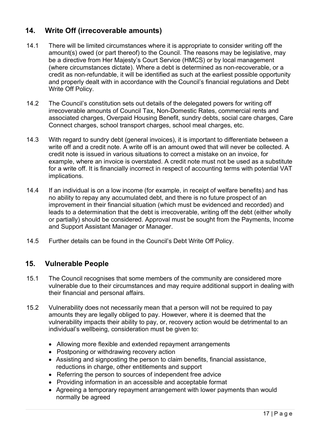# <span id="page-16-0"></span>**14. Write Off (irrecoverable amounts)**

- 14.1 There will be limited circumstances where it is appropriate to consider writing off the amount(s) owed (or part thereof) to the Council. The reasons may be legislative, may be a directive from Her Majesty's Court Service (HMCS) or by local management (where circumstances dictate). Where a debt is determined as non-recoverable, or a credit as non-refundable, it will be identified as such at the earliest possible opportunity and properly dealt with in accordance with the Council's financial regulations and Debt Write Off Policy.
- 14.2 The Council's constitution sets out details of the delegated powers for writing off irrecoverable amounts of Council Tax, Non-Domestic Rates, commercial rents and associated charges, Overpaid Housing Benefit, sundry debts, social care charges, Care Connect charges, school transport charges, school meal charges, etc.
- 14.3 With regard to sundry debt (general invoices), it is important to differentiate between a write off and a credit note. A write off is an amount owed that will never be collected. A credit note is issued in various situations to correct a mistake on an invoice, for example, where an invoice is overstated. A credit note must not be used as a substitute for a write off. It is financially incorrect in respect of accounting terms with potential VAT implications.
- 14.4 If an individual is on a low income (for example, in receipt of welfare benefits) and has no ability to repay any accumulated debt, and there is no future prospect of an improvement in their financial situation (which must be evidenced and recorded) and leads to a determination that the debt is irrecoverable, writing off the debt (either wholly or partially) should be considered. Approval must be sought from the Payments, Income and Support Assistant Manager or Manager.
- 14.5 Further details can be found in the Council's Debt Write Off Policy.

## <span id="page-16-1"></span>**15. Vulnerable People**

- 15.1 The Council recognises that some members of the community are considered more vulnerable due to their circumstances and may require additional support in dealing with their financial and personal affairs.
- 15.2 Vulnerability does not necessarily mean that a person will not be required to pay amounts they are legally obliged to pay. However, where it is deemed that the vulnerability impacts their ability to pay, or, recovery action would be detrimental to an individual's wellbeing, consideration must be given to:
	- Allowing more flexible and extended repayment arrangements
	- Postponing or withdrawing recovery action
	- Assisting and signposting the person to claim benefits, financial assistance, reductions in charge, other entitlements and support
	- Referring the person to sources of independent free advice
	- Providing information in an accessible and acceptable format
	- Agreeing a temporary repayment arrangement with lower payments than would normally be agreed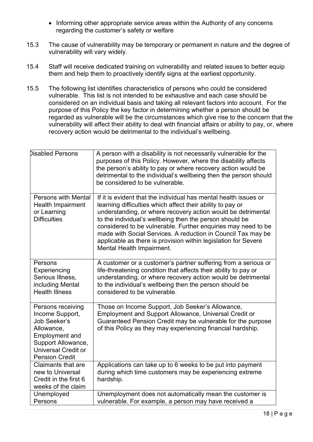- Informing other appropriate service areas within the Authority of any concerns regarding the customer's safety or welfare
- 15.3 The cause of vulnerability may be temporary or permanent in nature and the degree of vulnerability will vary widely.
- 15.4 Staff will receive dedicated training on vulnerability and related issues to better equip them and help them to proactively identify signs at the earliest opportunity.
- 15.5 The following list identifies characteristics of persons who could be considered vulnerable. This list is not intended to be exhaustive and each case should be considered on an individual basis and taking all relevant factors into account. For the purpose of this Policy the key factor in determining whether a person should be regarded as vulnerable will be the circumstances which give rise to the concern that the vulnerability will affect their ability to deal with financial affairs or ability to pay, or, where recovery action would be detrimental to the individual's wellbeing.

| <b>Disabled Persons</b>                                                                                                                                                  | A person with a disability is not necessarily vulnerable for the<br>purposes of this Policy. However, where the disability affects<br>the person's ability to pay or where recovery action would be<br>detrimental to the individual's wellbeing then the person should<br>be considered to be vulnerable.                                                                                                                                                                                |
|--------------------------------------------------------------------------------------------------------------------------------------------------------------------------|-------------------------------------------------------------------------------------------------------------------------------------------------------------------------------------------------------------------------------------------------------------------------------------------------------------------------------------------------------------------------------------------------------------------------------------------------------------------------------------------|
| Persons with Mental<br><b>Health Impairment</b><br>or Learning<br><b>Difficulties</b>                                                                                    | If it is evident that the individual has mental health issues or<br>learning difficulties which affect their ability to pay or<br>understanding, or where recovery action would be detrimental<br>to the individual's wellbeing then the person should be<br>considered to be vulnerable. Further enquiries may need to be<br>made with Social Services. A reduction in Council Tax may be<br>applicable as there is provision within legislation for Severe<br>Mental Health Impairment. |
| Persons<br>Experiencing<br>Serious Illness,<br>including Mental<br><b>Health Illness</b>                                                                                 | A customer or a customer's partner suffering from a serious or<br>life-threatening condition that affects their ability to pay or<br>understanding, or where recovery action would be detrimental<br>to the individual's wellbeing then the person should be<br>considered to be vulnerable.                                                                                                                                                                                              |
| Persons receiving<br>Income Support,<br>Job Seeker's<br>Allowance,<br><b>Employment and</b><br>Support Allowance,<br><b>Universal Credit or</b><br><b>Pension Credit</b> | Those on Income Support, Job Seeker's Allowance,<br><b>Employment and Support Allowance, Universal Credit or</b><br>Guaranteed Pension Credit may be vulnerable for the purpose<br>of this Policy as they may experiencing financial hardship.                                                                                                                                                                                                                                            |
| Claimants that are<br>new to Universal<br>Credit in the first 6<br>weeks of the claim                                                                                    | Applications can take up to 6 weeks to be put into payment<br>during which time customers may be experiencing extreme<br>hardship.                                                                                                                                                                                                                                                                                                                                                        |
| Unemployed<br>Persons                                                                                                                                                    | Unemployment does not automatically mean the customer is<br>vulnerable. For example, a person may have received a                                                                                                                                                                                                                                                                                                                                                                         |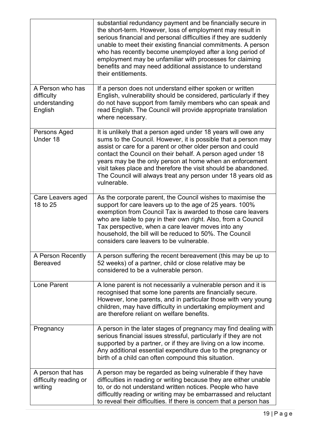|                                                            | substantial redundancy payment and be financially secure in<br>the short-term. However, loss of employment may result in<br>serious financial and personal difficulties if they are suddenly<br>unable to meet their existing financial commitments. A person<br>who has recently become unemployed after a long period of<br>employment may be unfamiliar with processes for claiming<br>benefits and may need additional assistance to understand<br>their entitlements.   |
|------------------------------------------------------------|------------------------------------------------------------------------------------------------------------------------------------------------------------------------------------------------------------------------------------------------------------------------------------------------------------------------------------------------------------------------------------------------------------------------------------------------------------------------------|
| A Person who has<br>difficulty<br>understanding<br>English | If a person does not understand either spoken or written<br>English, vulnerability should be considered, particularly if they<br>do not have support from family members who can speak and<br>read English. The Council will provide appropriate translation<br>where necessary.                                                                                                                                                                                             |
| Persons Aged<br>Under 18                                   | It is unlikely that a person aged under 18 years will owe any<br>sums to the Council. However, it is possible that a person may<br>assist or care for a parent or other older person and could<br>contact the Council on their behalf. A person aged under 18<br>years may be the only person at home when an enforcement<br>visit takes place and therefore the visit should be abandoned.<br>The Council will always treat any person under 18 years old as<br>vulnerable. |
| Care Leavers aged<br>18 to 25                              | As the corporate parent, the Council wishes to maximise the<br>support for care leavers up to the age of 25 years. 100%<br>exemption from Council Tax is awarded to those care leavers<br>who are liable to pay in their own right. Also, from a Council<br>Tax perspective, when a care leaver moves into any<br>household, the bill will be reduced to 50%. The Council<br>considers care leavers to be vulnerable.                                                        |
| A Person Recently<br><b>Bereaved</b>                       | A person suffering the recent bereavement (this may be up to<br>52 weeks) of a partner, child or close relative may be<br>considered to be a vulnerable person.                                                                                                                                                                                                                                                                                                              |
| <b>Lone Parent</b>                                         | A lone parent is not necessarily a vulnerable person and it is<br>recognised that some lone parents are financially secure.<br>However, lone parents, and in particular those with very young<br>children, may have difficulty in undertaking employment and<br>are therefore reliant on welfare benefits.                                                                                                                                                                   |
| Pregnancy                                                  | A person in the later stages of pregnancy may find dealing with<br>serious financial issues stressful, particularly if they are not<br>supported by a partner, or if they are living on a low income.<br>Any additional essential expenditure due to the pregnancy or<br>birth of a child can often compound this situation.                                                                                                                                                 |
| A person that has<br>difficulty reading or<br>writing      | A person may be regarded as being vulnerable if they have<br>difficulties in reading or writing because they are either unable<br>to, or do not understand written notices. People who have<br>difficultly reading or writing may be embarrassed and reluctant<br>to reveal their difficulties. If there is concern that a person has                                                                                                                                        |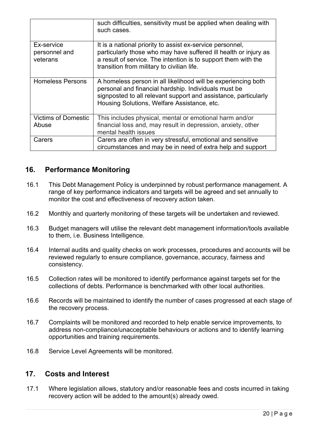|                                         | such difficulties, sensitivity must be applied when dealing with<br>such cases.                                                                                                                                                               |
|-----------------------------------------|-----------------------------------------------------------------------------------------------------------------------------------------------------------------------------------------------------------------------------------------------|
| Ex-service<br>personnel and<br>veterans | It is a national priority to assist ex-service personnel,<br>particularly those who may have suffered ill health or injury as<br>a result of service. The intention is to support them with the<br>transition from military to civilian life. |
| <b>Homeless Persons</b>                 | A homeless person in all likelihood will be experiencing both<br>personal and financial hardship. Individuals must be<br>signposted to all relevant support and assistance, particularly<br>Housing Solutions, Welfare Assistance, etc.       |
| <b>Victims of Domestic</b>              | This includes physical, mental or emotional harm and/or                                                                                                                                                                                       |
| Abuse                                   | financial loss and, may result in depression, anxiety, other<br>mental health issues                                                                                                                                                          |
| Carers                                  | Carers are often in very stressful, emotional and sensitive                                                                                                                                                                                   |
|                                         | circumstances and may be in need of extra help and support                                                                                                                                                                                    |

## <span id="page-19-0"></span>**16. Performance Monitoring**

- 16.1 This Debt Management Policy is underpinned by robust performance management. A range of key performance indicators and targets will be agreed and set annually to monitor the cost and effectiveness of recovery action taken.
- 16.2 Monthly and quarterly monitoring of these targets will be undertaken and reviewed.
- 16.3 Budget managers will utilise the relevant debt management information/tools available to them, i.e. Business Intelligence.
- 16.4 Internal audits and quality checks on work processes, procedures and accounts will be reviewed regularly to ensure compliance, governance, accuracy, fairness and consistency.
- 16.5 Collection rates will be monitored to identify performance against targets set for the collections of debts. Performance is benchmarked with other local authorities.
- 16.6 Records will be maintained to identify the number of cases progressed at each stage of the recovery process.
- 16.7 Complaints will be monitored and recorded to help enable service improvements, to address non-compliance/unacceptable behaviours or actions and to identify learning opportunities and training requirements.
- 16.8 Service Level Agreements will be monitored.

#### <span id="page-19-1"></span>**17. Costs and Interest**

17.1 Where legislation allows, statutory and/or reasonable fees and costs incurred in taking recovery action will be added to the amount(s) already owed.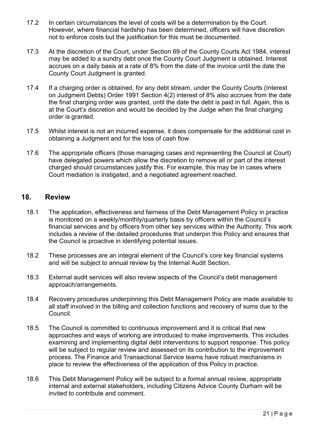- 17.2 In certain circumstances the level of costs will be a determination by the Court. However, where financial hardship has been determined, officers will have discretion not to enforce costs but the justification for this must be documented.
- 17.3 At the discretion of the Court, under Section 69 of the County Courts Act 1984, interest may be added to a sundry debt once the County Court Judgment is obtained. Interest accrues on a daily basis at a rate of 8% from the date of the invoice until the date the County Court Judgment is granted.
- 17.4 If a charging order is obtained, for any debt stream, under the County Courts (Interest on Judgment Debts) Order 1991 Section 4(2) interest of 8% also accrues from the date the final charging order was granted, until the date the debt is paid in full. Again, this is at the Court's discretion and would be decided by the Judge when the final charging order is granted.
- 17.5 Whilst interest is not an incurred expense, it does compensate for the additional cost in obtaining a Judgment and for the loss of cash flow.
- 17.6 The appropriate officers (those managing cases and representing the Council at Court) have delegated powers which allow the discretion to remove all or part of the interest charged should circumstances justify this. For example, this may be in cases where Court mediation is instigated, and a negotiated agreement reached.

#### <span id="page-20-0"></span>**18. Review**

- 18.1 The application, effectiveness and fairness of the Debt Management Policy in practice is monitored on a weekly/monthly/quarterly basis by officers within the Council's financial services and by officers from other key services within the Authority. This work includes a review of the detailed procedures that underpin this Policy and ensures that the Council is proactive in identifying potential issues.
- 18.2 These processes are an integral element of the Council's core key financial systems and will be subject to annual review by the Internal Audit Section.
- 18.3 External audit services will also review aspects of the Council's debt management approach/arrangements.
- 18.4 Recovery procedures underpinning this Debt Management Policy are made available to all staff involved in the billing and collection functions and recovery of sums due to the Council.
- 18.5 The Council is committed to continuous improvement and it is critical that new approaches and ways of working are introduced to make improvements. This includes examining and implementing digital debt interventions to support response. This policy will be subject to regular review and assessed on its contribution to the improvement process. The Finance and Transactional Service teams have robust mechanisms in place to review the effectiveness of the application of this Policy in practice.
- 18.6 This Debt Management Policy will be subject to a formal annual review, appropriate internal and external stakeholders, including Citizens Advice County Durham will be invited to contribute and comment.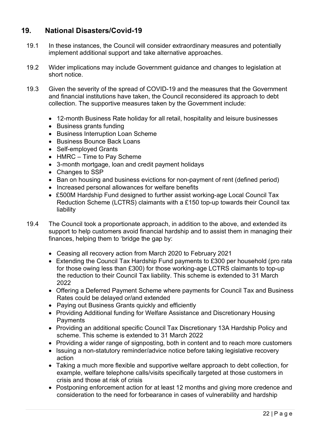## <span id="page-21-0"></span>**19. National Disasters/Covid-19**

- 19.1 In these instances, the Council will consider extraordinary measures and potentially implement additional support and take alternative approaches.
- 19.2 Wider implications may include Government guidance and changes to legislation at short notice.
- 19.3 Given the severity of the spread of COVID-19 and the measures that the Government and financial institutions have taken, the Council reconsidered its approach to debt collection. The supportive measures taken by the Government include:
	- 12-month Business Rate holiday for all retail, hospitality and leisure businesses
	- Business grants funding
	- Business Interruption Loan Scheme
	- Business Bounce Back Loans
	- Self-employed Grants
	- HMRC Time to Pay Scheme
	- 3-month mortgage, loan and credit payment holidays
	- Changes to SSP
	- Ban on housing and business evictions for non-payment of rent (defined period)
	- Increased personal allowances for welfare benefits
	- £500M Hardship Fund designed to further assist working-age Local Council Tax Reduction Scheme (LCTRS) claimants with a £150 top-up towards their Council tax liability
- 19.4 The Council took a proportionate approach, in addition to the above, and extended its support to help customers avoid financial hardship and to assist them in managing their finances, helping them to 'bridge the gap by:
	- Ceasing all recovery action from March 2020 to February 2021
	- Extending the Council Tax Hardship Fund payments to £300 per household (pro rata for those owing less than £300) for those working-age LCTRS claimants to top-up the reduction to their Council Tax liability. This scheme is extended to 31 March 2022
	- Offering a Deferred Payment Scheme where payments for Council Tax and Business Rates could be delayed or/and extended
	- Paying out Business Grants quickly and efficiently
	- Providing Additional funding for Welfare Assistance and Discretionary Housing **Payments**
	- Providing an additional specific Council Tax Discretionary 13A Hardship Policy and scheme. This scheme is extended to 31 March 2022
	- Providing a wider range of signposting, both in content and to reach more customers
	- Issuing a non-statutory reminder/advice notice before taking legislative recovery action
	- Taking a much more flexible and supportive welfare approach to debt collection, for example, welfare telephone calls/visits specifically targeted at those customers in crisis and those at risk of crisis
	- Postponing enforcement action for at least 12 months and giving more credence and consideration to the need for forbearance in cases of vulnerability and hardship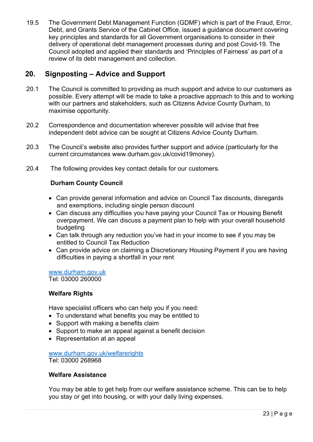19.5 The Government Debt Management Function (GDMF) which is part of the Fraud, Error, Debt, and Grants Service of the Cabinet Office, issued a guidance document covering key principles and standards for all Government organisations to consider in their delivery of operational debt management processes during and post Covid-19. The Council adopted and applied their standards and 'Principles of Fairness' as part of a review of its debt management and collection.

## <span id="page-22-0"></span>**20. Signposting – Advice and Support**

- 20.1 The Council is committed to providing as much support and advice to our customers as possible. Every attempt will be made to take a proactive approach to this and to working with our partners and stakeholders, such as Citizens Advice County Durham, to maximise opportunity.
- 20.2 Correspondence and documentation wherever possible will advise that free independent debt advice can be sought at Citizens Advice County Durham.
- 20.3 The Council's website also provides further support and advice (particularly for the current circumstances www.durham.gov.uk/covid19money).
- 20.4 The following provides key contact details for our customers.

#### **Durham County Council**

- Can provide general information and advice on Council Tax discounts, disregards and exemptions, including single person discount
- Can discuss any difficulties you have paying your Council Tax or Housing Benefit overpayment. We can discuss a payment plan to help with your overall household budgeting
- Can talk through any reduction you've had in your income to see if you may be entitled to Council Tax Reduction
- Can provide advice on claiming a Discretionary Housing Payment if you are having difficulties in paying a shortfall in your rent

[www.durham.gov.uk](http://www.durham.gov.uk/) Tel: 03000 260000

#### **Welfare Rights**

Have specialist officers who can help you if you need:

- To understand what benefits you may be entitled to
- Support with making a benefits claim
- Support to make an appeal against a benefit decision
- Representation at an appeal

[www.durham.gov.uk/welfarerights](http://www.durham.gov.uk/welfarerights) Tel: 03000 268968

#### **Welfare Assistance**

You may be able to get help from our welfare assistance scheme. This can be to help you stay or get into housing, or with your daily living expenses.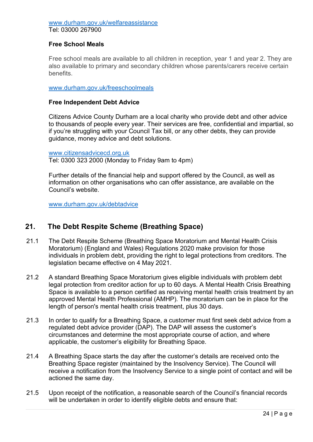#### <span id="page-23-0"></span>[www.durham.gov.uk/welfareassistance](http://www.durham.gov.uk/welfareassistance) Tel: 03000 267900

#### **Free School Meals**

Free school meals are available to all children in reception, year 1 and year 2. They are also available to primary and secondary children whose parents/carers receive certain benefits.

[www.durham.gov.uk/freeschoolmeals](http://www.durham.gov.uk/freeschoolmeals)

#### **Free Independent Debt Advice**

Citizens Advice County Durham are a local charity who provide debt and other advice to thousands of people every year. Their services are free, confidential and impartial, so if you're struggling with your Council Tax bill, or any other debts, they can provide guidance, money advice and debt solutions.

[www.citizensadvicecd.org.uk](http://www.citizensadvicecd.org.uk/)

Tel: 0300 323 2000 (Monday to Friday 9am to 4pm)

Further details of the financial help and support offered by the Council, as well as information on other organisations who can offer assistance, are available on the Council's website.

[www.durham.gov.uk/](http://www.durham.gov.uk/debtadvice)[debtadvice](http://debtadvice)

#### **21. The Debt Respite Scheme (Breathing Space)**

- 21.1 The Debt Respite Scheme (Breathing Space Moratorium and Mental Health Crisis Moratorium) (England and Wales) Regulations 2020 make provision for those individuals in problem debt, providing the right to legal protections from creditors. The legislation became effective on 4 May 2021.
- 21.2 A standard Breathing Space Moratorium gives eligible individuals with problem debt legal protection from creditor action for up to 60 days. A Mental Health Crisis Breathing Space is available to a person certified as receiving mental health crisis treatment by an approved Mental Health Professional (AMHP). The moratorium can be in place for the length of person's mental health crisis treatment, plus 30 days.
- 21.3 In order to qualify for a Breathing Space, a customer must first seek debt advice from a regulated debt advice provider (DAP). The DAP will assess the customer's circumstances and determine the most appropriate course of action, and where applicable, the customer's eligibility for Breathing Space.
- 21.4 A Breathing Space starts the day after the customer's details are received onto the Breathing Space register (maintained by the Insolvency Service). The Council will receive a notification from the Insolvency Service to a single point of contact and will be actioned the same day.
- 21.5 Upon receipt of the notification, a reasonable search of the Council's financial records will be undertaken in order to identify eligible debts and ensure that: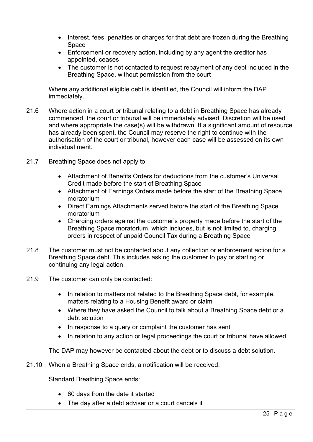- Interest, fees, penalties or charges for that debt are frozen during the Breathing Space
- Enforcement or recovery action, including by any agent the creditor has appointed, ceases
- The customer is not contacted to request repayment of any debt included in the Breathing Space, without permission from the court

Where any additional eligible debt is identified, the Council will inform the DAP immediately.

- 21.6 Where action in a court or tribunal relating to a debt in Breathing Space has already commenced, the court or tribunal will be immediately advised. Discretion will be used and where appropriate the case(s) will be withdrawn. If a significant amount of resource has already been spent, the Council may reserve the right to continue with the authorisation of the court or tribunal, however each case will be assessed on its own individual merit.
- 21.7 Breathing Space does not apply to:
	- Attachment of Benefits Orders for deductions from the customer's Universal Credit made before the start of Breathing Space
	- Attachment of Earnings Orders made before the start of the Breathing Space moratorium
	- Direct Earnings Attachments served before the start of the Breathing Space moratorium
	- Charging orders against the customer's property made before the start of the Breathing Space moratorium, which includes, but is not limited to, charging orders in respect of unpaid Council Tax during a Breathing Space
- 21.8 The customer must not be contacted about any collection or enforcement action for a Breathing Space debt. This includes asking the customer to pay or starting or continuing any legal action
- 21.9 The customer can only be contacted:
	- In relation to matters not related to the Breathing Space debt, for example, matters relating to a Housing Benefit award or claim
	- Where they have asked the Council to talk about a Breathing Space debt or a debt solution
	- In response to a query or complaint the customer has sent
	- In relation to any action or legal proceedings the court or tribunal have allowed

The DAP may however be contacted about the debt or to discuss a debt solution.

21.10 When a Breathing Space ends, a notification will be received.

Standard Breathing Space ends:

- 60 days from the date it started
- The day after a debt adviser or a court cancels it